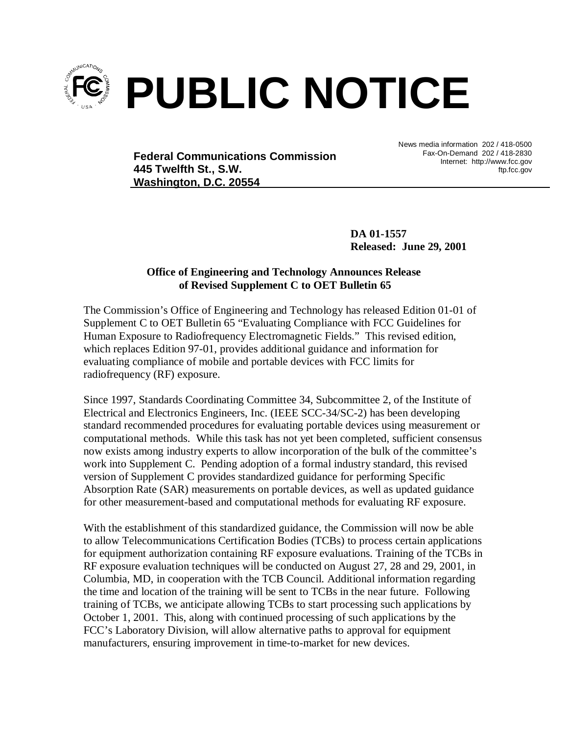

**Federal Communications Commission 445 Twelfth St., S.W. Washington, D.C. 20554**

News media information 202 / 418-0500 Fax-On-Demand 202 / 418-2830 Internet: http://www.fcc.gov ftp.fcc.gov

**DA 01-1557 Released: June 29, 2001**

## **Office of Engineering and Technology Announces Release of Revised Supplement C to OET Bulletin 65**

The Commission's Office of Engineering and Technology has released Edition 01-01 of Supplement C to OET Bulletin 65 "Evaluating Compliance with FCC Guidelines for Human Exposure to Radiofrequency Electromagnetic Fields." This revised edition, which replaces Edition 97-01, provides additional guidance and information for evaluating compliance of mobile and portable devices with FCC limits for radiofrequency (RF) exposure.

Since 1997, Standards Coordinating Committee 34, Subcommittee 2, of the Institute of Electrical and Electronics Engineers, Inc. (IEEE SCC-34/SC-2) has been developing standard recommended procedures for evaluating portable devices using measurement or computational methods. While this task has not yet been completed, sufficient consensus now exists among industry experts to allow incorporation of the bulk of the committee's work into Supplement C. Pending adoption of a formal industry standard, this revised version of Supplement C provides standardized guidance for performing Specific Absorption Rate (SAR) measurements on portable devices, as well as updated guidance for other measurement-based and computational methods for evaluating RF exposure.

With the establishment of this standardized guidance, the Commission will now be able to allow Telecommunications Certification Bodies (TCBs) to process certain applications for equipment authorization containing RF exposure evaluations. Training of the TCBs in RF exposure evaluation techniques will be conducted on August 27, 28 and 29, 2001, in Columbia, MD, in cooperation with the TCB Council. Additional information regarding the time and location of the training will be sent to TCBs in the near future. Following training of TCBs, we anticipate allowing TCBs to start processing such applications by October 1, 2001. This, along with continued processing of such applications by the FCC's Laboratory Division, will allow alternative paths to approval for equipment manufacturers, ensuring improvement in time-to-market for new devices.